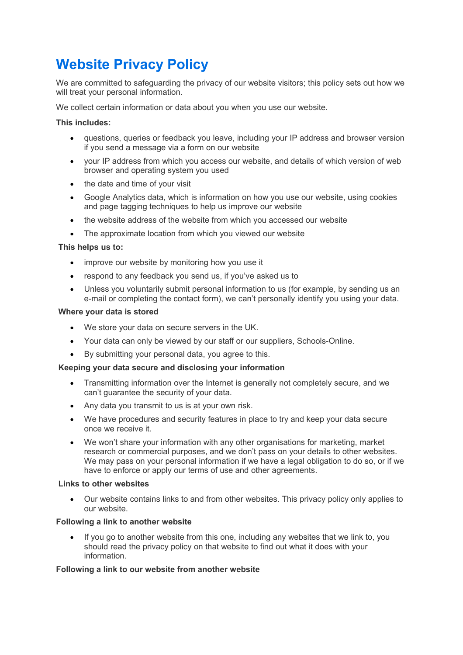# **Website Privacy Policy**

We are committed to safeguarding the privacy of our website visitors; this policy sets out how we will treat your personal information.

We collect certain information or data about you when you use our website.

### **This includes:**

- questions, queries or feedback you leave, including your IP address and browser version if you send a message via a form on our website
- your IP address from which you access our website, and details of which version of web browser and operating system you used
- the date and time of your visit
- Google Analytics data, which is information on how you use our website, using cookies and page tagging techniques to help us improve our website
- the website address of the website from which you accessed our website
- The approximate location from which you viewed our website

#### **This helps us to:**

- improve our website by monitoring how you use it
- respond to any feedback you send us, if you've asked us to
- Unless you voluntarily submit personal information to us (for example, by sending us an e-mail or completing the contact form), we can't personally identify you using your data.

#### **Where your data is stored**

- We store your data on secure servers in the UK.
- Your data can only be viewed by our staff or our suppliers, Schools-Online.
- By submitting your personal data, you agree to this.

#### **Keeping your data secure and disclosing your information**

- Transmitting information over the Internet is generally not completely secure, and we can't guarantee the security of your data.
- Any data you transmit to us is at your own risk.
- We have procedures and security features in place to try and keep your data secure once we receive it.
- We won't share your information with any other organisations for marketing, market research or commercial purposes, and we don't pass on your details to other websites. We may pass on your personal information if we have a legal obligation to do so, or if we have to enforce or apply our terms of use and other agreements.

#### **Links to other websites**

 Our website contains links to and from other websites. This privacy policy only applies to our website.

#### **Following a link to another website**

 If you go to another website from this one, including any websites that we link to, you should read the privacy policy on that website to find out what it does with your information.

#### **Following a link to our website from another website**